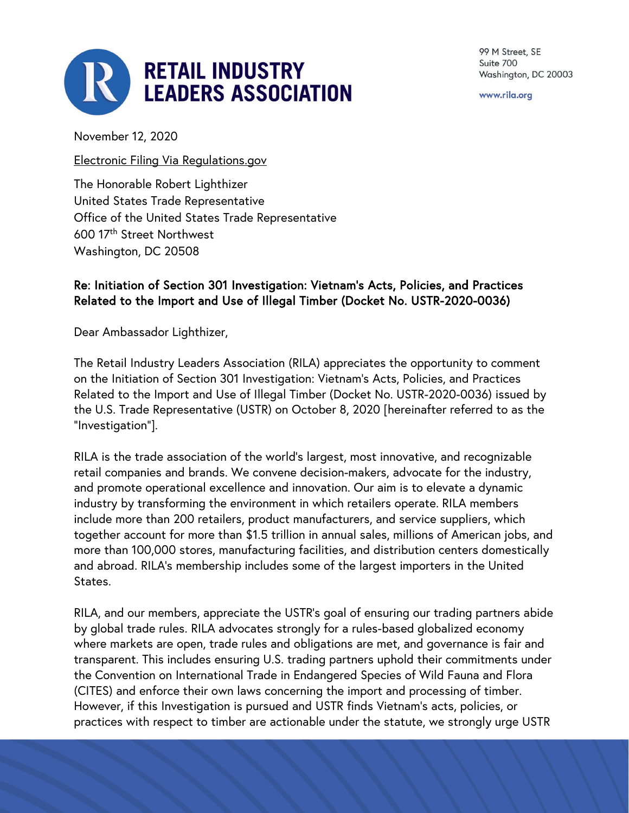

99 M Street, SE Suite 700 Washington, DC 20003

www.rila.org

November 12, 2020

Electronic Filing Via Regulations.gov

The Honorable Robert Lighthizer United States Trade Representative Office of the United States Trade Representative 600 17th Street Northwest Washington, DC 20508

## Re: Initiation of Section 301 Investigation: Vietnam's Acts, Policies, and Practices Related to the Import and Use of Illegal Timber (Docket No. USTR-2020-0036)

Dear Ambassador Lighthizer,

The Retail Industry Leaders Association (RILA) appreciates the opportunity to comment on the Initiation of Section 301 Investigation: Vietnam's Acts, Policies, and Practices Related to the Import and Use of Illegal Timber (Docket No. USTR-2020-0036) issued by the U.S. Trade Representative (USTR) on October 8, 2020 [hereinafter referred to as the "Investigation"].

RILA is the trade association of the world's largest, most innovative, and recognizable retail companies and brands. We convene decision-makers, advocate for the industry, and promote operational excellence and innovation. Our aim is to elevate a dynamic industry by transforming the environment in which retailers operate. RILA members include more than 200 retailers, product manufacturers, and service suppliers, which together account for more than \$1.5 trillion in annual sales, millions of American jobs, and more than 100,000 stores, manufacturing facilities, and distribution centers domestically and abroad. RILA's membership includes some of the largest importers in the United States.

RILA, and our members, appreciate the USTR's goal of ensuring our trading partners abide by global trade rules. RILA advocates strongly for a rules-based globalized economy where markets are open, trade rules and obligations are met, and governance is fair and transparent. This includes ensuring U.S. trading partners uphold their commitments under the Convention on International Trade in Endangered Species of Wild Fauna and Flora (CITES) and enforce their own laws concerning the import and processing of timber. However, if this Investigation is pursued and USTR finds Vietnam's acts, policies, or practices with respect to timber are actionable under the statute, we strongly urge USTR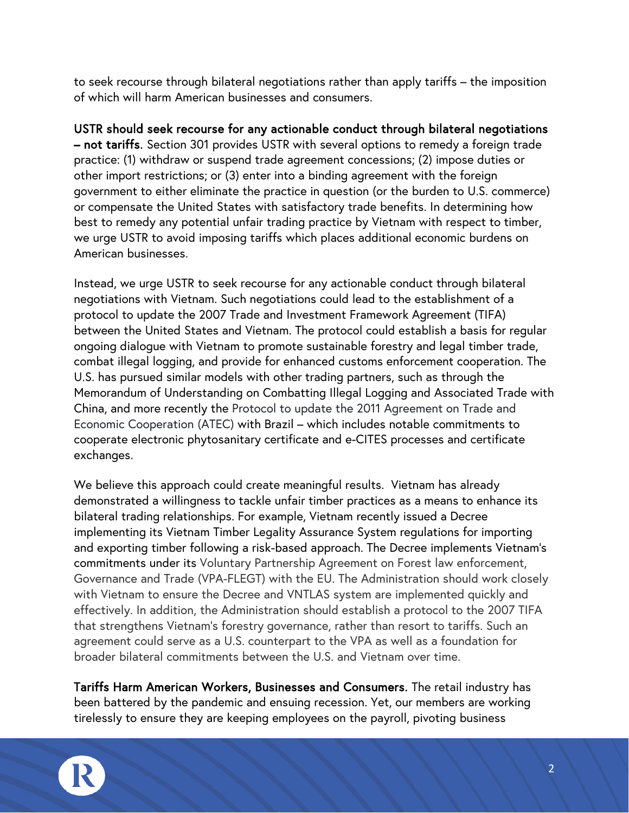to seek recourse through bilateral negotiations rather than apply tariffs – the imposition of which will harm American businesses and consumers.

USTR should seek recourse for any actionable conduct through bilateral negotiations – not tariffs. Section 301 provides USTR with several options to remedy a foreign trade practice: (1) withdraw or suspend trade agreement concessions; (2) impose duties or other import restrictions; or (3) enter into a binding agreement with the foreign government to either eliminate the practice in question (or the burden to U.S. commerce) or compensate the United States with satisfactory trade benefits. In determining how best to remedy any potential unfair trading practice by Vietnam with respect to timber, we urge USTR to avoid imposing tariffs which places additional economic burdens on American businesses.

Instead, we urge USTR to seek recourse for any actionable conduct through bilateral negotiations with Vietnam. Such negotiations could lead to the establishment of a protocol to update the 2007 Trade and Investment Framework Agreement (TIFA) between the United States and Vietnam. The protocol could establish a basis for regular ongoing dialogue with Vietnam to promote sustainable forestry and legal timber trade, combat illegal logging, and provide for enhanced customs enforcement cooperation. The U.S. has pursued similar models with other trading partners, such as through the Memorandum of Understanding on Combatting Illegal Logging and Associated Trade with China, and more recently the Protocol to update the 2011 Agreement on Trade and Economic Cooperation (ATEC) with Brazil – which includes notable commitments to cooperate electronic phytosanitary certificate and e-CITES processes and certificate exchanges.

We believe this approach could create meaningful results. Vietnam has already demonstrated a willingness to tackle unfair timber practices as a means to enhance its bilateral trading relationships. For example, Vietnam recently issued a Decree implementing its Vietnam Timber Legality Assurance System regulations for importing and exporting timber following a risk-based approach. The Decree implements Vietnam's commitments under its Voluntary Partnership Agreement on Forest law enforcement, Governance and Trade (VPA-FLEGT) with the EU. The Administration should work closely with Vietnam to ensure the Decree and VNTLAS system are implemented quickly and effectively. In addition, the Administration should establish a protocol to the 2007 TIFA that strengthens Vietnam's forestry governance, rather than resort to tariffs. Such an agreement could serve as a U.S. counterpart to the VPA as well as a foundation for broader bilateral commitments between the U.S. and Vietnam over time.

Tariffs Harm American Workers, Businesses and Consumers. The retail industry has been battered by the pandemic and ensuing recession. Yet, our members are working tirelessly to ensure they are keeping employees on the payroll, pivoting business

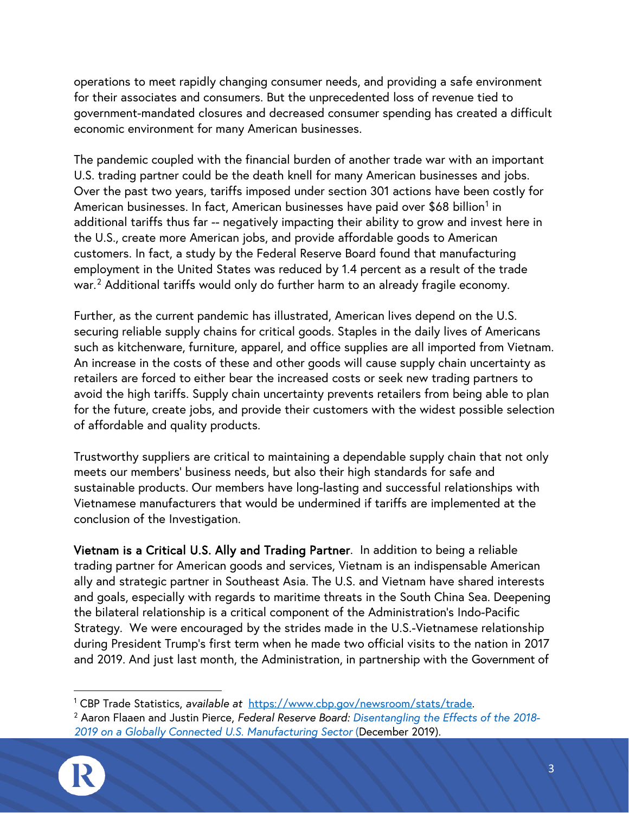operations to meet rapidly changing consumer needs, and providing a safe environment for their associates and consumers. But the unprecedented loss of revenue tied to government-mandated closures and decreased consumer spending has created a difficult economic environment for many American businesses.

The pandemic coupled with the financial burden of another trade war with an important U.S. trading partner could be the death knell for many American businesses and jobs. Over the past two years, tariffs imposed under section 301 actions have been costly for American businesses. In fact, American businesses have paid over \$68 billion<sup>[1](#page-2-0)</sup> in additional tariffs thus far -- negatively impacting their ability to grow and invest here in the U.S., create more American jobs, and provide affordable goods to American customers. In fact, a study by the Federal Reserve Board found that manufacturing employment in the United States was reduced by 1.4 percent as a result of the trade war.<sup>[2](#page-2-1)</sup> Additional tariffs would only do further harm to an already fragile economy.

Further, as the current pandemic has illustrated, American lives depend on the U.S. securing reliable supply chains for critical goods. Staples in the daily lives of Americans such as kitchenware, furniture, apparel, and office supplies are all imported from Vietnam. An increase in the costs of these and other goods will cause supply chain uncertainty as retailers are forced to either bear the increased costs or seek new trading partners to avoid the high tariffs. Supply chain uncertainty prevents retailers from being able to plan for the future, create jobs, and provide their customers with the widest possible selection of affordable and quality products.

Trustworthy suppliers are critical to maintaining a dependable supply chain that not only meets our members' business needs, but also their high standards for safe and sustainable products. Our members have long-lasting and successful relationships with Vietnamese manufacturers that would be undermined if tariffs are implemented at the conclusion of the Investigation.

Vietnam is a Critical U.S. Ally and Trading Partner. In addition to being a reliable trading partner for American goods and services, Vietnam is an indispensable American ally and strategic partner in Southeast Asia. The U.S. and Vietnam have shared interests and goals, especially with regards to maritime threats in the South China Sea. Deepening the bilateral relationship is a critical component of the Administration's Indo-Pacific Strategy. We were encouraged by the strides made in the U.S.-Vietnamese relationship during President Trump's first term when he made two official visits to the nation in 2017 and 2019. And just last month, the Administration, in partnership with the Government of

<span id="page-2-1"></span><span id="page-2-0"></span><sup>2</sup> Aaron Flaaen and Justin Pierce, *Federal Reserve Board: Disentangling the Effects of the 2018- 2019 on a Globally Connected U.S. Manufacturing Sector* (December 2019).



<sup>1</sup> CBP Trade Statistics, *available at* [https://www.cbp.gov/newsroom/stats/trade.](https://www.cbp.gov/newsroom/stats/trade)